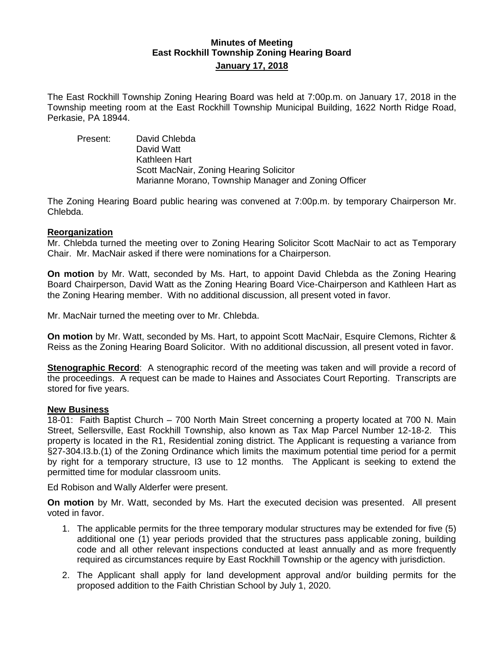# **Minutes of Meeting East Rockhill Township Zoning Hearing Board January 17, 2018**

The East Rockhill Township Zoning Hearing Board was held at 7:00p.m. on January 17, 2018 in the Township meeting room at the East Rockhill Township Municipal Building, 1622 North Ridge Road, Perkasie, PA 18944.

Present: David Chlebda David Watt Kathleen Hart Scott MacNair, Zoning Hearing Solicitor Marianne Morano, Township Manager and Zoning Officer

The Zoning Hearing Board public hearing was convened at 7:00p.m. by temporary Chairperson Mr. Chlebda.

## **Reorganization**

Mr. Chlebda turned the meeting over to Zoning Hearing Solicitor Scott MacNair to act as Temporary Chair. Mr. MacNair asked if there were nominations for a Chairperson.

**On motion** by Mr. Watt, seconded by Ms. Hart, to appoint David Chlebda as the Zoning Hearing Board Chairperson, David Watt as the Zoning Hearing Board Vice-Chairperson and Kathleen Hart as the Zoning Hearing member. With no additional discussion, all present voted in favor.

Mr. MacNair turned the meeting over to Mr. Chlebda.

**On motion** by Mr. Watt, seconded by Ms. Hart, to appoint Scott MacNair, Esquire Clemons, Richter & Reiss as the Zoning Hearing Board Solicitor. With no additional discussion, all present voted in favor.

**Stenographic Record**: A stenographic record of the meeting was taken and will provide a record of the proceedings. A request can be made to Haines and Associates Court Reporting. Transcripts are stored for five years.

#### **New Business**

18-01: Faith Baptist Church – 700 North Main Street concerning a property located at 700 N. Main Street, Sellersville, East Rockhill Township, also known as Tax Map Parcel Number 12-18-2. This property is located in the R1, Residential zoning district. The Applicant is requesting a variance from §27-304.I3.b.(1) of the Zoning Ordinance which limits the maximum potential time period for a permit by right for a temporary structure, I3 use to 12 months. The Applicant is seeking to extend the permitted time for modular classroom units.

Ed Robison and Wally Alderfer were present.

**On motion** by Mr. Watt, seconded by Ms. Hart the executed decision was presented. All present voted in favor.

- 1. The applicable permits for the three temporary modular structures may be extended for five (5) additional one (1) year periods provided that the structures pass applicable zoning, building code and all other relevant inspections conducted at least annually and as more frequently required as circumstances require by East Rockhill Township or the agency with jurisdiction.
- 2. The Applicant shall apply for land development approval and/or building permits for the proposed addition to the Faith Christian School by July 1, 2020.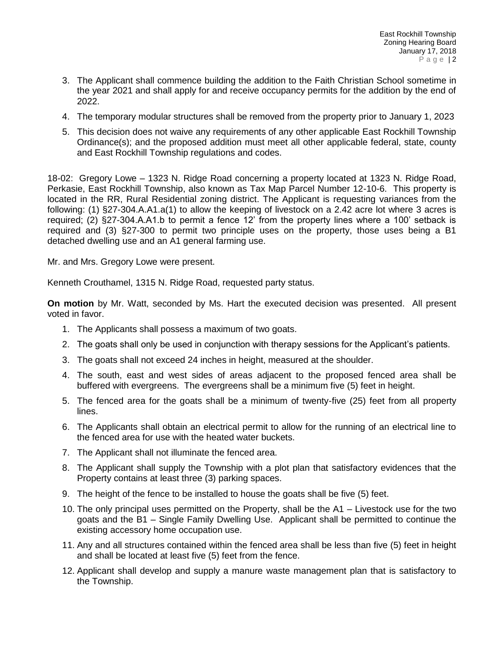- 3. The Applicant shall commence building the addition to the Faith Christian School sometime in the year 2021 and shall apply for and receive occupancy permits for the addition by the end of 2022.
- 4. The temporary modular structures shall be removed from the property prior to January 1, 2023
- 5. This decision does not waive any requirements of any other applicable East Rockhill Township Ordinance(s); and the proposed addition must meet all other applicable federal, state, county and East Rockhill Township regulations and codes.

18-02: Gregory Lowe – 1323 N. Ridge Road concerning a property located at 1323 N. Ridge Road, Perkasie, East Rockhill Township, also known as Tax Map Parcel Number 12-10-6. This property is located in the RR, Rural Residential zoning district. The Applicant is requesting variances from the following: (1) §27-304.A.A1.a(1) to allow the keeping of livestock on a 2.42 acre lot where 3 acres is required; (2) §27-304.A.A1.b to permit a fence 12' from the property lines where a 100' setback is required and (3) §27-300 to permit two principle uses on the property, those uses being a B1 detached dwelling use and an A1 general farming use.

Mr. and Mrs. Gregory Lowe were present.

Kenneth Crouthamel, 1315 N. Ridge Road, requested party status.

**On motion** by Mr. Watt, seconded by Ms. Hart the executed decision was presented. All present voted in favor.

- 1. The Applicants shall possess a maximum of two goats.
- 2. The goats shall only be used in conjunction with therapy sessions for the Applicant's patients.
- 3. The goats shall not exceed 24 inches in height, measured at the shoulder.
- 4. The south, east and west sides of areas adjacent to the proposed fenced area shall be buffered with evergreens. The evergreens shall be a minimum five (5) feet in height.
- 5. The fenced area for the goats shall be a minimum of twenty-five (25) feet from all property lines.
- 6. The Applicants shall obtain an electrical permit to allow for the running of an electrical line to the fenced area for use with the heated water buckets.
- 7. The Applicant shall not illuminate the fenced area.
- 8. The Applicant shall supply the Township with a plot plan that satisfactory evidences that the Property contains at least three (3) parking spaces.
- 9. The height of the fence to be installed to house the goats shall be five (5) feet.
- 10. The only principal uses permitted on the Property, shall be the A1 Livestock use for the two goats and the B1 – Single Family Dwelling Use. Applicant shall be permitted to continue the existing accessory home occupation use.
- 11. Any and all structures contained within the fenced area shall be less than five (5) feet in height and shall be located at least five (5) feet from the fence.
- 12. Applicant shall develop and supply a manure waste management plan that is satisfactory to the Township.